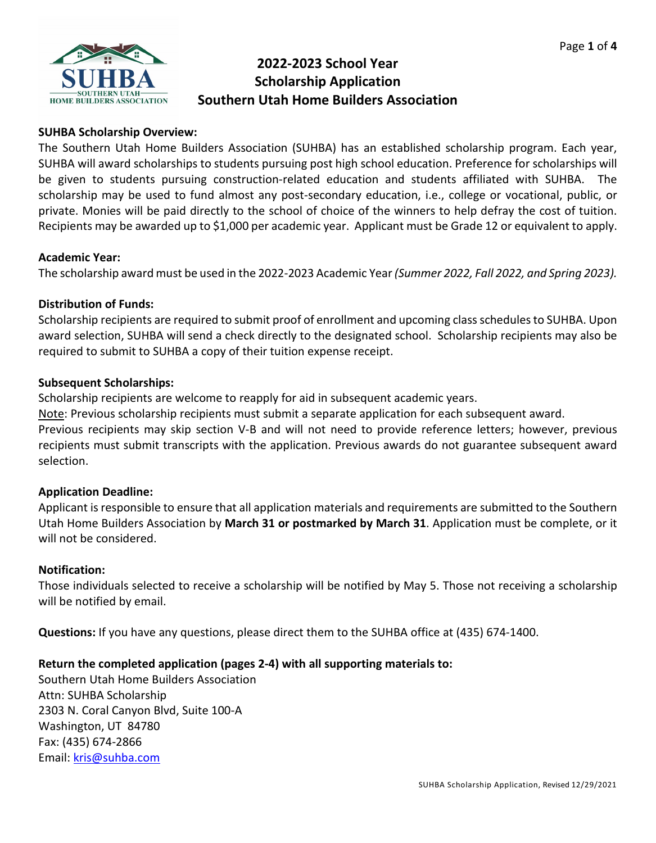

# **2022-2023 School Year Scholarship Application Southern Utah Home Builders Association**

# **SUHBA Scholarship Overview:**

The Southern Utah Home Builders Association (SUHBA) has an established scholarship program. Each year, SUHBA will award scholarships to students pursuing post high school education. Preference for scholarships will be given to students pursuing construction-related education and students affiliated with SUHBA. The scholarship may be used to fund almost any post-secondary education, i.e., college or vocational, public, or private. Monies will be paid directly to the school of choice of the winners to help defray the cost of tuition. Recipients may be awarded up to \$1,000 per academic year. Applicant must be Grade 12 or equivalent to apply.

#### **Academic Year:**

The scholarship award must be used in the 2022-2023 Academic Year *(Summer 2022, Fall 2022, and Spring 2023).*

#### **Distribution of Funds:**

Scholarship recipients are required to submit proof of enrollment and upcoming class schedules to SUHBA. Upon award selection, SUHBA will send a check directly to the designated school. Scholarship recipients may also be required to submit to SUHBA a copy of their tuition expense receipt.

#### **Subsequent Scholarships:**

Scholarship recipients are welcome to reapply for aid in subsequent academic years.

Note: Previous scholarship recipients must submit a separate application for each subsequent award.

Previous recipients may skip section V-B and will not need to provide reference letters; however, previous recipients must submit transcripts with the application. Previous awards do not guarantee subsequent award selection.

#### **Application Deadline:**

Applicant is responsible to ensure that all application materials and requirements are submitted to the Southern Utah Home Builders Association by **March 31 or postmarked by March 31**. Application must be complete, or it will not be considered.

#### **Notification:**

Those individuals selected to receive a scholarship will be notified by May 5. Those not receiving a scholarship will be notified by email.

**Questions:** If you have any questions, please direct them to the SUHBA office at (435) 674-1400.

### **Return the completed application (pages 2-4) with all supporting materials to:**

Southern Utah Home Builders Association Attn: SUHBA Scholarship 2303 N. Coral Canyon Blvd, Suite 100-A Washington, UT 84780 Fax: (435) 674-2866 Email: [kris@suhba.com](mailto:kris@suhba.com)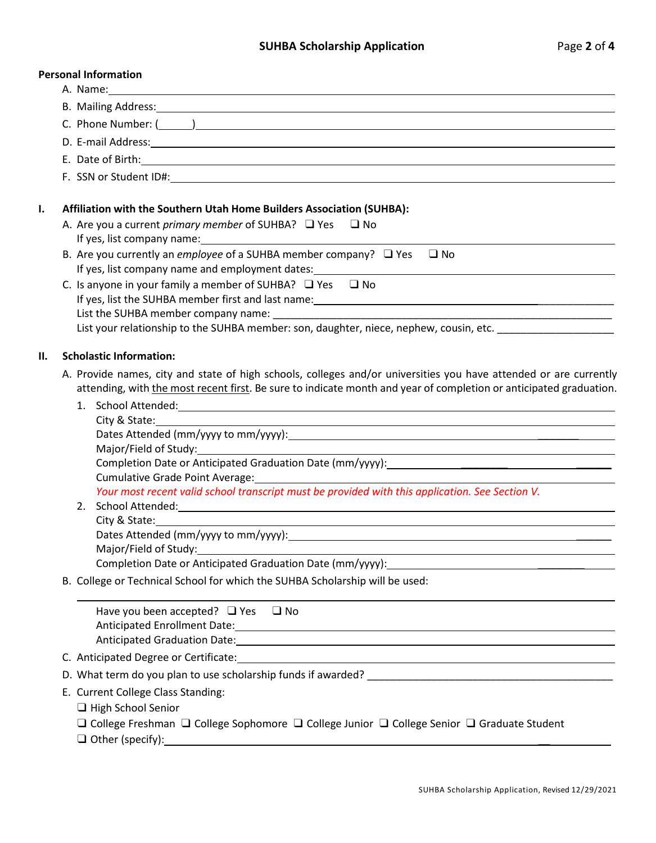# **Personal Information**

|    | reisonai mionnation                                                                                                                                                                                                                                                                                                                                                                                        |
|----|------------------------------------------------------------------------------------------------------------------------------------------------------------------------------------------------------------------------------------------------------------------------------------------------------------------------------------------------------------------------------------------------------------|
|    | B. Mailing Address: 1988 and 2008 and 2008 and 2008 and 2008 and 2008 and 2008 and 2008 and 2008 and 2008 and 2008 and 2008 and 2008 and 2008 and 2008 and 2008 and 2008 and 2008 and 2008 and 2008 and 2008 and 2008 and 2008                                                                                                                                                                             |
|    |                                                                                                                                                                                                                                                                                                                                                                                                            |
|    | D. E-mail Address: and a series of the series of the series of the series of the series of the series of the series of the series of the series of the series of the series of the series of the series of the series of the s                                                                                                                                                                             |
|    | E. Date of Birth: 1990 and 200 and 200 and 200 and 200 and 200 and 200 and 200 and 200 and 200 and 200 and 200                                                                                                                                                                                                                                                                                             |
|    |                                                                                                                                                                                                                                                                                                                                                                                                            |
| I. | Affiliation with the Southern Utah Home Builders Association (SUHBA):                                                                                                                                                                                                                                                                                                                                      |
|    | A. Are you a current <i>primary member</i> of SUHBA? $\Box$ Yes $\Box$ No                                                                                                                                                                                                                                                                                                                                  |
|    | B. Are you currently an employee of a SUHBA member company? $\Box$ Yes $\Box$ No                                                                                                                                                                                                                                                                                                                           |
|    | C. Is anyone in your family a member of SUHBA? $\Box$ Yes $\Box$ No                                                                                                                                                                                                                                                                                                                                        |
|    | List your relationship to the SUHBA member: son, daughter, niece, nephew, cousin, etc.                                                                                                                                                                                                                                                                                                                     |
| П. | <b>Scholastic Information:</b>                                                                                                                                                                                                                                                                                                                                                                             |
|    | A. Provide names, city and state of high schools, colleges and/or universities you have attended or are currently<br>attending, with the most recent first. Be sure to indicate month and year of completion or anticipated graduation.                                                                                                                                                                    |
|    | City & State: 2008 City & State:<br>Your most recent valid school transcript must be provided with this application. See Section V.<br>Major/Field of Study:<br>Completion Date or Anticipated Graduation Date (mm/yyyy): Lateration Date of the Completion Date of the Complete or Anticipated Graduation Date (mm/yyyy):<br>B. College or Technical School for which the SUHBA Scholarship will be used: |
|    | Have you been accepted? $\Box$ Yes $\Box$ No<br>Anticipated Enrollment Date: 1988 and 2008 and 2008 and 2008 and 2008 and 2008 and 2008 and 2008 and 2008 and 2008 and 2008 and 2008 and 2008 and 2008 and 2008 and 2008 and 2008 and 2008 and 2008 and 2008 and 2008 and 2008                                                                                                                             |
|    |                                                                                                                                                                                                                                                                                                                                                                                                            |
|    |                                                                                                                                                                                                                                                                                                                                                                                                            |
|    | E. Current College Class Standing:<br>□ High School Senior<br>$\Box$ College Freshman $\Box$ College Sophomore $\Box$ College Junior $\Box$ College Senior $\Box$ Graduate Student<br>$\sim$ $\sim$ $\sim$ $\sim$                                                                                                                                                                                          |

❑ Other (specify): \_\_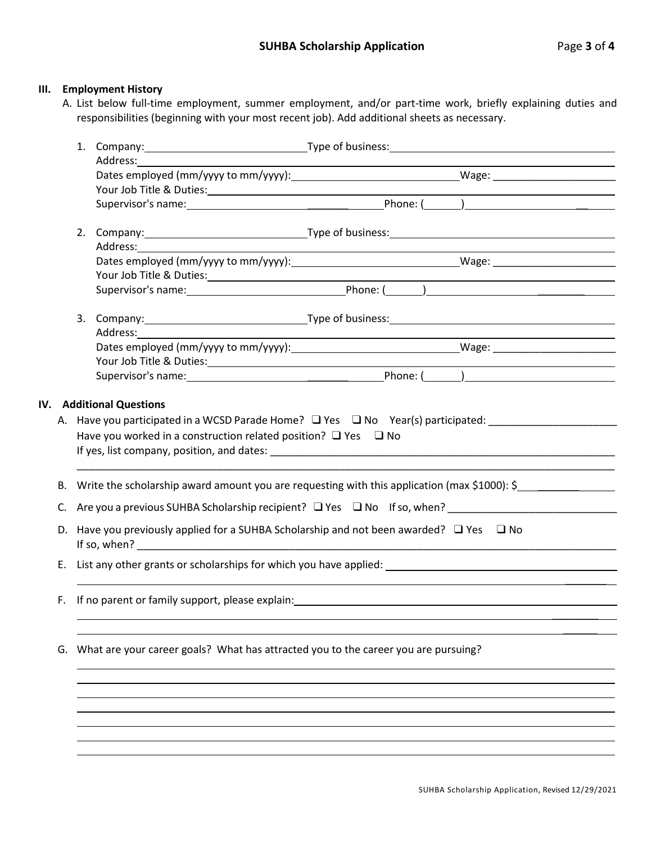#### **III. Employment History**

A. List below full-time employment, summer employment, and/or part-time work, briefly explaining duties and responsibilities (beginning with your most recent job). Add additional sheets as necessary.

|                                                                                          | Address: and the state of the state of the state of the state of the state of the state of the state of the state of the state of the state of the state of the state of the state of the state of the state of the state of t |  |                                                            | 1. Company: 1. Company: 1. Company: 1. Company: 1. Company: 1. Company: 1. Company: 1. Company: 1. Company: 1.        |  |  |
|------------------------------------------------------------------------------------------|--------------------------------------------------------------------------------------------------------------------------------------------------------------------------------------------------------------------------------|--|------------------------------------------------------------|-----------------------------------------------------------------------------------------------------------------------|--|--|
|                                                                                          |                                                                                                                                                                                                                                |  |                                                            |                                                                                                                       |  |  |
|                                                                                          |                                                                                                                                                                                                                                |  |                                                            |                                                                                                                       |  |  |
|                                                                                          |                                                                                                                                                                                                                                |  |                                                            | Your Job Title & Duties: New Your Job Title & Duties:                                                                 |  |  |
|                                                                                          |                                                                                                                                                                                                                                |  |                                                            |                                                                                                                       |  |  |
|                                                                                          |                                                                                                                                                                                                                                |  |                                                            |                                                                                                                       |  |  |
|                                                                                          |                                                                                                                                                                                                                                |  |                                                            |                                                                                                                       |  |  |
|                                                                                          | Your Job Title & Duties: Your Job Title & Duties:                                                                                                                                                                              |  |                                                            |                                                                                                                       |  |  |
|                                                                                          |                                                                                                                                                                                                                                |  |                                                            |                                                                                                                       |  |  |
|                                                                                          |                                                                                                                                                                                                                                |  |                                                            |                                                                                                                       |  |  |
|                                                                                          |                                                                                                                                                                                                                                |  | <u> 1980 - Johann Barbara, martxa alemaniar amerikan a</u> |                                                                                                                       |  |  |
|                                                                                          |                                                                                                                                                                                                                                |  |                                                            |                                                                                                                       |  |  |
|                                                                                          |                                                                                                                                                                                                                                |  |                                                            | Your Job Title & Duties: 1988 March 2014 March 2014 March 2014 March 2014 March 2014 March 2014 March 2014 March 2014 |  |  |
|                                                                                          |                                                                                                                                                                                                                                |  |                                                            |                                                                                                                       |  |  |
|                                                                                          | IV. Additional Questions                                                                                                                                                                                                       |  |                                                            |                                                                                                                       |  |  |
| А.                                                                                       |                                                                                                                                                                                                                                |  |                                                            | Have you participated in a WCSD Parade Home? $\Box$ Yes $\Box$ No Year(s) participated:                               |  |  |
|                                                                                          | Have you worked in a construction related position? $\Box$ Yes $\Box$ No                                                                                                                                                       |  |                                                            |                                                                                                                       |  |  |
|                                                                                          |                                                                                                                                                                                                                                |  |                                                            |                                                                                                                       |  |  |
| В.                                                                                       |                                                                                                                                                                                                                                |  |                                                            | Write the scholarship award amount you are requesting with this application (max \$1000): \$                          |  |  |
| C.                                                                                       | Are you a previous SUHBA Scholarship recipient? $\Box$ Yes $\Box$ No If so, when?                                                                                                                                              |  |                                                            |                                                                                                                       |  |  |
|                                                                                          | D. Have you previously applied for a SUHBA Scholarship and not been awarded? $\Box$ Yes $\Box$ No                                                                                                                              |  |                                                            |                                                                                                                       |  |  |
| Е.                                                                                       |                                                                                                                                                                                                                                |  |                                                            |                                                                                                                       |  |  |
|                                                                                          | F. If no parent or family support, please explain: The manufacturer of the control of the control of the control of the control of the control of the control of the control of the control of the control of the control of t |  |                                                            |                                                                                                                       |  |  |
| What are your career goals? What has attracted you to the career you are pursuing?<br>G. |                                                                                                                                                                                                                                |  |                                                            |                                                                                                                       |  |  |
|                                                                                          |                                                                                                                                                                                                                                |  |                                                            |                                                                                                                       |  |  |
|                                                                                          |                                                                                                                                                                                                                                |  |                                                            |                                                                                                                       |  |  |
|                                                                                          |                                                                                                                                                                                                                                |  |                                                            |                                                                                                                       |  |  |
|                                                                                          |                                                                                                                                                                                                                                |  |                                                            |                                                                                                                       |  |  |
|                                                                                          |                                                                                                                                                                                                                                |  |                                                            |                                                                                                                       |  |  |
|                                                                                          |                                                                                                                                                                                                                                |  |                                                            |                                                                                                                       |  |  |
|                                                                                          |                                                                                                                                                                                                                                |  |                                                            |                                                                                                                       |  |  |